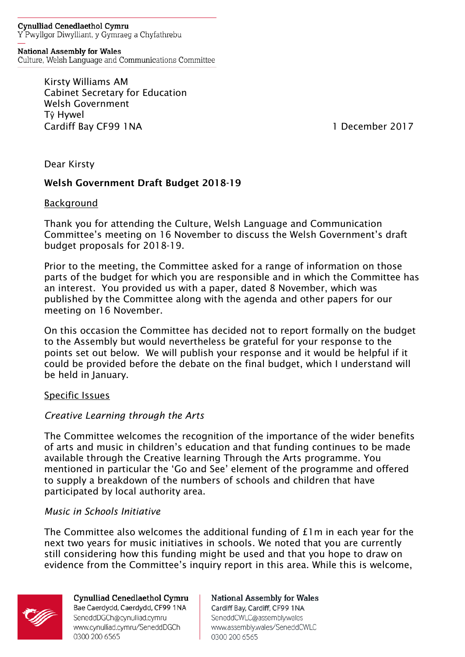**Cynulliad Cenedlaethol Cymru** Y Pwyllgor Diwylliant, y Gymraeg a Chyfathrebu

**National Assembly for Wales** Culture, Welsh Language and Communications Committee

> Kirsty Williams AM Cabinet Secretary for Education Welsh Government Tŷ Hywel Cardiff Bay CF99 1NA 1 December 2017

Dear Kirsty

# Welsh Government Draft Budget 2018-19

#### **Background**

Thank you for attending the Culture, Welsh Language and Communication Committee's meeting on 16 November to discuss the Welsh Government's draft budget proposals for 2018-19.

Prior to the meeting, the Committee asked for a range of information on those parts of the budget for which you are responsible and in which the Committee has an interest. You provided us with a paper, dated 8 November, which was published by the Committee along with the agenda and other papers for our meeting on 16 November.

On this occasion the Committee has decided not to report formally on the budget to the Assembly but would nevertheless be grateful for your response to the points set out below. We will publish your response and it would be helpful if it could be provided before the debate on the final budget, which I understand will be held in January.

#### Specific Issues

# *Creative Learning through the Arts*

The Committee welcomes the recognition of the importance of the wider benefits of arts and music in children's education and that funding continues to be made available through the Creative learning Through the Arts programme. You mentioned in particular the 'Go and See' element of the programme and offered to supply a breakdown of the numbers of schools and children that have participated by local authority area.

# *Music in Schools Initiative*

The Committee also welcomes the additional funding of £1m in each year for the next two years for music initiatives in schools. We noted that you are currently still considering how this funding might be used and that you hope to draw on evidence from the Committee's inquiry report in this area. While this is welcome,

0300 200 6565



Cynulliad Cenedlaethol Cymru Bae Caerdydd, Caerdydd, CF99 1NA SeneddDGCh@cynulliad.cymru www.cynulliad.cymru/SeneddDGCh 0300 200 6565

**National Assembly for Wales** Cardiff Bay, Cardiff, CF99 1NA SeneddCWLC@assembly.wales www.assembly.wales/SeneddCWLC